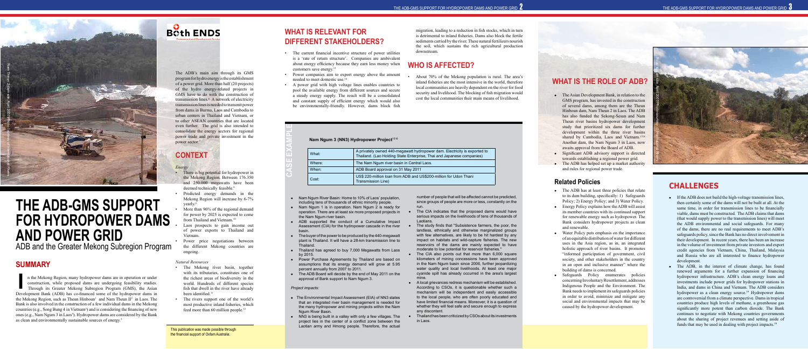### **SUMMARY**

In the Mekong Region, many hydropower dams are in operation or under construction, while proposed dams are undergoing feasibility studies.<br>Through its Greater Mekong Subregion Program (GMS), the Asian Development Bank (ADB n the Mekong Region, many hydropower dams are in operation or under construction, while proposed dams are undergoing feasibility studies. Through its Greater Mekong Subregion Program (GMS), the Asian the Mekong Region, such as Theun Hinboun<sup>1</sup> and Nam Theun  $II<sup>2</sup>$  in Laos. The Bank is also involved in the construction of a few individual dams in the Mekong countries (e.g., Song Bung 4 in Vietnam<sup>3</sup>) and is considering the financing of new ones (e.g., Nam Ngum 3 in Laos<sup>4</sup>). Hydropower dams are considered by the Bank as clean and environmentally sustainable sources of energy.<sup>5</sup>

## **Both ENDS**



# **THE ADB-GMS SUPPORT FOR HYDROPOWER DAMS AND POWER GRID**

ADB and the Greater Mekong Subregion Program

- There is big potential for hydropower in the Mekong Region. Between 176.350 and 250.000 megawatts have been deemed technically feasible.<sup>8</sup>
- Predicted energy demands in the Mekong Region will increase by 6-7% yearly.<sup>9</sup>
- More than 96% of the regional demand for power by 2025 is expected to come from Thailand and Vietnam.10
- Laos prospects to gain income out of power exports to Thailand and Vietnam.
- Power price negotiations between the different Mekong countries are ongoing.

The ADB's main aim through its GMS program for hydro energy is the establishment of a power grid. More than half (20 projects) of the hydro energy-related projects in GMS have to do with the construction of transmission lines.<sup>6</sup> A network of electricity transmission lines is needed to transmit power from dams in Burma, Laos and Cambodia to urban centers in Thailand and Vietnam, or to other ASEAN countries that are located even further. The grid is also intended to consolidate the energy sectors for regional power trade and private investment in the power sector.7

## **CONTEXT**

#### *Energy*

#### *Natural Resources*

- The Mekong river basin, together with its tributaries, constitutes one of the richest areas of biodiversity in the world. Hundreds of different species fish that dwell in the river have already been identified.<sup>11</sup>
- The rivers support one of the world's most productive inland fisheries, which feed more than 60 million people.<sup>12</sup>
- Nam Ngum River Basin: Home to 10% of Laos' population, including tens of thousands of ethnic minority people. number of people that will be affected cannot be predicted, since groups of people are more or less, constantly on the run.
- Nam Ngum 1 is in operation. Nam Ngum 2 is ready for operation. There are at least six more proposed projects in the Nam Ngum river basin.
- ADB supported the conduct of a Cumulative Impact Assessment (CIA) for the hydropower cascade in the river basin.  $\bullet$  The buyer of the power to be produced by the 440-megawatt plant is Thailand. It will have a 28-km transmission line to Thailand. The study finds that "Subsistence farmers, the poor, the landless, ethnically and otherwise marginalized groups with few alternatives, are likely to be hit hardest by any impact on habitats and wild-capture fisheries. The new reservoirs of the dams are mainly expected to have moderate to low potential for reservoir fisheries."
- 
- Thailand has agreed to buy 7,000 Megawatts from Laos by 2015.
- Power Purchase Agreements by Thailand are based on assumptions that its energy demand will grow at 5.95 percent annually from 2007 to 2011. • The ADB Board will decide by the end of May 2011 on the The CIA also points out that more than 6,000 square kilometers of mining concessions have been approved in the Nam Ngum basin since 2006, further jeopardizing water quality and local livelihoods. At least one major cyanide spill has already occurred in the area's largest mine.
- approval of Bank support to Nam Ngum 3.

### **WHAT IS RELEVANT FOR DIFFERENT STAKEHOLDERS?**

The CIA indicates that the proposed dams would have serious impacts on the livelihoods of tens of thousands of Laotians.

- The current financial incentive structure of power utilities is a 'rate of return structure'. Companies are ambivalent about energy efficiency because they earn less money when customers save energy.<sup>13</sup>
- Power companies aim to export energy above the amount needed to meet domestic use.14
- A power grid with high voltage lines enables countries to pool the available energy from different sources and secure a steady energy supply. The result will be a consolidated and constant supply of efficient energy which would also be environmentally-friendly. However, dams block fish

#### Nam Ngum 3 (NN3) Hydropower Project<sup>1516</sup>

• A local grievances redress mechanism will be established. According to CSOs, it is questionable whether such a mechanism will be independent and easily accessible to the local people, who are often poorly educated and have limited financial means. Moreover, it is a question of whether they will feel safe and secure enough to express any discontent.

- The Environmental Impact Assessment (EIA) of NN3 states that an integrated river basin management is needed for the many hydropower and mining projects within the Nam Ngum River Basin.
- NN3 is being built in a valley with only a few villages. The project lies in the center of a conflict zone between the Laotian army and Hmong people. Therefore, the actual <sup>l</sup> Thailand has been criticized by CSOs about its investments in Laos.

migration, leading to a reduction in fish stocks, which in turn is detrimental to inland fisheries. Dams also block the fertile sediments carried by the river. These natural fertilizers nourish the soil, which sustains the rich agricultural production downstream.

#### **WHO IS AFFECTED?**

#### • About 70% of the Mekong population is rural. The area's inland fisheries are the most intensive in the world, therefore local communities are heavily dependent on the river for food security and livelihood. The blocking of fish migration would cost the local communities their main means of livelihood.

**CASE EXAMPLE**

- The Asian Development Bank, in relation to the GMS program, has invested in the construction of several dams, among them are the Theun Hinboun dam, Nam Theun 2 in Laos. The ADB has also funded the Sekong-Sesan and Nam Theun river basins hydropower development study that prioritized six dams for further development within the three river basins shared by Cambodia, Laos and Vietnam.<sup>1718</sup> Another dam, the Nam Ngum 3 in Laos, now awaits approval from the Board of ADB.
- Significant ADB advisory support is directed towards establishing a regional power grid.
- $\bullet$  The ADB has helped set up a market authority and rules for regional power trade.

- The ADB has at least three policies that relate to its dam building, specifically: 1) Safeguards Policy; 2) Energy Policy; and 3) Water Policy.
- $\bullet$  Energy Policy explains how the ADB will assist its member countries with its continued support for renewable energy such as hydropower. The Bank considers hydropower projects as clean and renewable.
- Water Policy puts emphasis on the importance of an equitable distribution of water for different uses in the Asia region, as in, an integrated holistic approach of river basins. It promotes "informed participation of government, civil society, and other stakeholders in the country in an open and inclusive manner" where the building of dams is concerned.
- Safeguards Policy enumerates policies concerning Involuntary Resettlement, addresses Indigenous People and the Environment. The Bank needs to implement its safeguards policies in order to avoid, minimize and mitigate any social and environmental impacts that may be caused by the hydropower development.

#### *Project impacts:*

- $\bullet$  If the ADB does not build the high-voltage transmission lines, then certainly some of the dams will not be built at all. At the same time, in order for transmission lines to be financially viable, dams must be constructed. The ADB claims that dams (that would supply power to the transmission lines) will meet the ADB environmental and social safeguards. For many of the dams, there are no real requirements to meet ADB's safeguards policy, since the Bank has no direct involvement in their development. In recent years, there has been an increase in the volume of investment from private investors and export credit agencies from Vietnam, China, Thailand, Malaysia and Russia who are all interested to finance hydropower development.
- $\bullet$  The ADB, in the interest of climate change, has found renewed arguments for a further expansion of financing hydropower infrastructure. ADB's clean energy loans and investments include power grids for hydropower stations in India, and dams in China and Vietnam. The ADB considers hydropower as a clean energy source.<sup>19</sup> Hydropower dams are controversial from a climate perspective. Dams in tropical countries produce high levels of methane, a greenhouse gas significantly more potent than carbon dioxide. The Bank continues to negotiate with Mekong countries governments about the sharing of project revenues and setting aside of funds that may be used in dealing with project impacts.20

| What:  | A privately owned 440-megawatt hydropower dam. Electricity is exported to<br>Thailand. (Lao Holding State Enterprise, Thai and Japanese companies) |
|--------|----------------------------------------------------------------------------------------------------------------------------------------------------|
| Where: | The Nam Ngum river basin in Central Laos.                                                                                                          |
| When:  | ADB Board approval on 31 May 2011                                                                                                                  |
| Cost:  | US\$ 220-million loan from ADB and US\$200-million for Udon Thani<br>Transmission Line)                                                            |



This publication was made possible through the financial support of Oxfam Australia.

#### **Related Policies**

### **WHAT IS THE ROLE OF ADB?**

### **CHALLENGES**